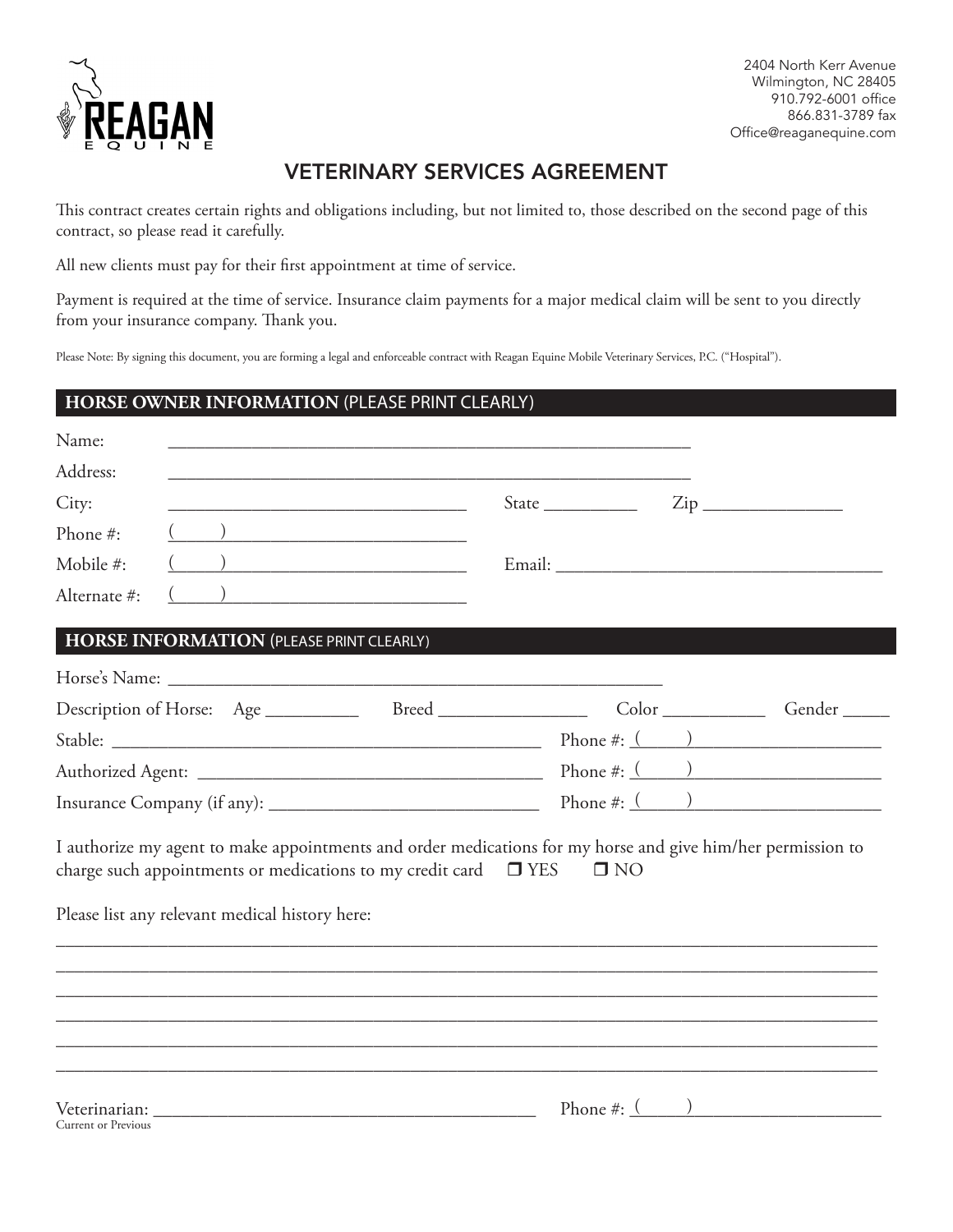

2404 North Kerr Avenue Wilmington, NC 28405 910.792-6001 office 866.831-3789 fax Office@reaganequine.com

## VETERINARY SERVICES AGREEMENT

This contract creates certain rights and obligations including, but not limited to, those described on the second page of this contract, so please read it carefully.

All new clients must pay for their first appointment at time of service.

Payment is required at the time of service. Insurance claim payments for a major medical claim will be sent to you directly from your insurance company. Thank you.

Please Note: By signing this document, you are forming a legal and enforceable contract with Reagan Equine Mobile Veterinary Services, P.C. ("Hospital").

## **HORSE OWNER INFORMATION** (PLEASE PRINT CLEARLY)

| Name:        |                                                                                                                                                                                                                                          |                                                                                                                     |                                                                               |                                        |
|--------------|------------------------------------------------------------------------------------------------------------------------------------------------------------------------------------------------------------------------------------------|---------------------------------------------------------------------------------------------------------------------|-------------------------------------------------------------------------------|----------------------------------------|
| Address:     |                                                                                                                                                                                                                                          |                                                                                                                     |                                                                               |                                        |
| City:        |                                                                                                                                                                                                                                          | <u> 1989 - Johann Barn, mars ann an t-Amhain an t-Amhain an t-Amhain an t-Amhain an t-Amhain an t-Amhain an t-A</u> | State $\frac{\text{Value}}{\text{Value}}$ $\frac{\text{Value}}{\text{Value}}$ |                                        |
| Phone #:     |                                                                                                                                                                                                                                          |                                                                                                                     |                                                                               |                                        |
| Mobile #:    | $\overline{\phantom{a}}$                                                                                                                                                                                                                 |                                                                                                                     |                                                                               |                                        |
| Alternate #: |                                                                                                                                                                                                                                          | ) and the contract of the contract of $\mathcal{L}$                                                                 |                                                                               |                                        |
|              | HORSE INFORMATION (PLEASE PRINT CLEARLY)                                                                                                                                                                                                 |                                                                                                                     |                                                                               |                                        |
|              |                                                                                                                                                                                                                                          |                                                                                                                     |                                                                               |                                        |
|              | Description of Horse: Age ____________ Breed ______________                                                                                                                                                                              |                                                                                                                     |                                                                               | $Color \_\_\_\_\_\_\_$<br>Gender _____ |
|              |                                                                                                                                                                                                                                          |                                                                                                                     |                                                                               |                                        |
|              |                                                                                                                                                                                                                                          |                                                                                                                     |                                                                               |                                        |
|              |                                                                                                                                                                                                                                          |                                                                                                                     |                                                                               | Phone #: $($ )                         |
|              | I authorize my agent to make appointments and order medications for my horse and give him/her permission to<br>charge such appointments or medications to my credit card $\square$ YES<br>Please list any relevant medical history here: |                                                                                                                     | $\square$ NO                                                                  |                                        |
|              |                                                                                                                                                                                                                                          |                                                                                                                     |                                                                               |                                        |